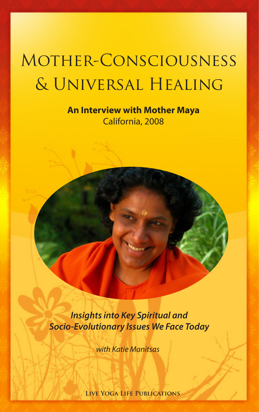# Mother-Consciousness & Universal Healing

### **An Interview with Mother Maya** California, 2008

*Insights into Key Spiritual and Socio-Evolutionary Issues We Face Today*

*with Katie Manitsas*

**Live Yoga Life Publications**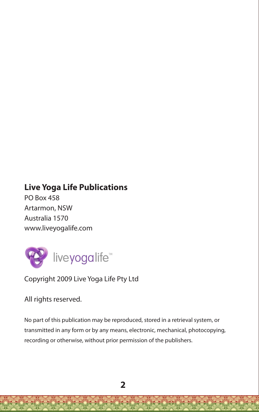### **Live Yoga Life Publications**

PO Box 458 Artarmon, NSW Australia 1570 www.liveyogalife.com



Copyright 2009 Live Yoga Life Pty Ltd

All rights reserved.

No part of this publication may be reproduced, stored in a retrieval system, or transmitted in any form or by any means, electronic, mechanical, photocopying, recording or otherwise, without prior permission of the publishers.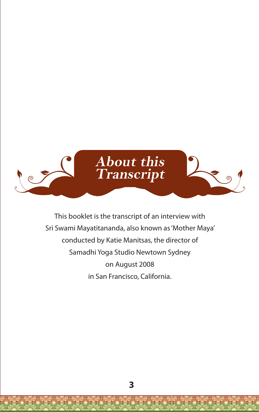

This booklet is the transcript of an interview with Sri Swami Mayatitananda, also known as 'Mother Maya' conducted by Katie Manitsas, the director of Samadhi Yoga Studio Newtown Sydney on August 2008 in San Francisco, California.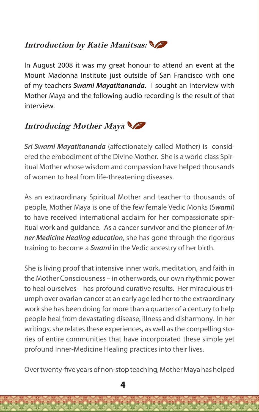## **Introduction by Katie Manitsas:**

In August 2008 it was my great honour to attend an event at the Mount Madonna Institute just outside of San Francisco with one of my teachers *Swami Mayatitananda.* I sought an interview with Mother Maya and the following audio recording is the result of that interview.

### **Introducing Mother Maya**

*Sri Swami Mayatitananda* (affectionately called Mother) is considered the embodiment of the Divine Mother. She is a world class Spiritual Mother whose wisdom and compassion have helped thousands of women to heal from life-threatening diseases.

As an extraordinary Spiritual Mother and teacher to thousands of people, Mother Maya is one of the few female Vedic Monks (S*wami*) to have received international acclaim for her compassionate spiritual work and guidance. As a cancer survivor and the pioneer of *Inner Medicine Healing education*, she has gone through the rigorous training to become a *Swami* in the Vedic ancestry of her birth.

She is living proof that intensive inner work, meditation, and faith in the Mother Consciousness – in other words, our own rhythmic power to heal ourselves – has profound curative results. Her miraculous triumph over ovarian cancer at an early age led her to the extraordinary work she has been doing for more than a quarter of a century to help people heal from devastating disease, illness and disharmony. In her writings, she relates these experiences, as well as the compelling stories of entire communities that have incorporated these simple yet profound Inner-Medicine Healing practices into their lives.

Over twenty-five years of non-stop teaching, Mother Maya has helped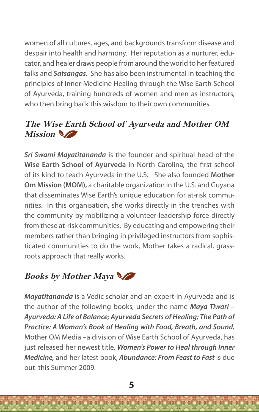women of all cultures, ages, and backgrounds transform disease and despair into health and harmony. Her reputation as a nurturer, educator, and healer draws people from around the world to her featured talks and *Satsangas*. She has also been instrumental in teaching the principles of Inner-Medicine Healing through the Wise Earth School of Ayurveda, training hundreds of women and men as instructors, who then bring back this wisdom to their own communities.

### **The Wise Earth School of Ayurveda and Mother OM**  Mission

*Sri Swami Mayatitananda* is the founder and spiritual head of the **Wise Earth School of Ayurveda** in North Carolina, the first school of its kind to teach Ayurveda in the U.S. She also founded **Mother Om Mission (MOM),** a charitable organization in the U.S. and Guyana that disseminates Wise Earth's unique education for at-risk communities. In this organisation, she works directly in the trenches with the community by mobilizing a volunteer leadership force directly from these at-risk communities. By educating and empowering their members rather than bringing in privileged instructors from sophisticated communities to do the work, Mother takes a radical, grassroots approach that really works.

### **Books by Mother Maya**

*Mayatitananda* is a Vedic scholar and an expert in Ayurveda and is the author of the following books, under the name *Maya Tiwari – Ayurveda: A Life of Balance; Ayurveda Secrets of Healing; The Path of Practice: A Woman's Book of Healing with Food, Breath, and Sound.*  Mother OM Media –a division of Wise Earth School of Ayurveda, has just released her newest title, *Women's Power to Heal through Inner Medicine,* and her latest book, *Abundance: From Feast to Fast* is due out this Summer 2009.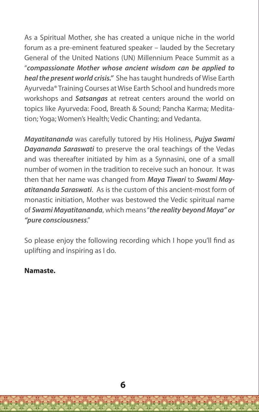As a Spiritual Mother, she has created a unique niche in the world forum as a pre-eminent featured speaker – lauded by the Secretary General of the United Nations (UN) Millennium Peace Summit as a "*compassionate Mother whose ancient wisdom can be applied to heal the present world crisis."* She has taught hundreds of Wise Earth Ayurveda® Training Courses at Wise Earth School and hundreds more workshops and *Satsangas* at retreat centers around the world on topics like Ayurveda: Food, Breath & Sound; Pancha Karma; Meditation; Yoga; Women's Health; Vedic Chanting; and Vedanta.

*Mayatitananda* was carefully tutored by His Holiness, *Pujya Swami Dayananda Saraswati* to preserve the oral teachings of the Vedas and was thereafter initiated by him as a Synnasini, one of a small number of women in the tradition to receive such an honour. It was then that her name was changed from *Maya Tiwari* to *Swami Mayatitananda Saraswati*. As is the custom of this ancient-most form of monastic initiation, Mother was bestowed the Vedic spiritual name of *Swami Mayatitananda*, which means "*the reality beyond Maya" or "pure consciousness*."

So please enjoy the following recording which I hope you'll find as uplifting and inspiring as I do.

#### **Namaste.**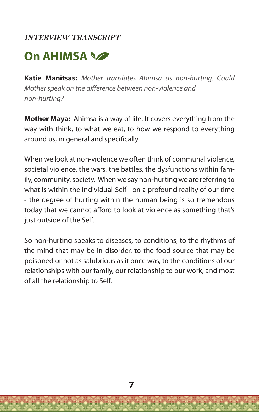#### **INTERVIEW TRANSCRIPT**

# **On AHIMSA**

**Katie Manitsas:** *Mother translates Ahimsa as non-hurting. Could Mother speak on the difference between non-violence and non-hurting?*

**Mother Maya:** Ahimsa is a way of life. It covers everything from the way with think, to what we eat, to how we respond to everything around us, in general and specifically.

When we look at non-violence we often think of communal violence, societal violence, the wars, the battles, the dysfunctions within family, community, society. When we say non-hurting we are referring to what is within the Individual-Self - on a profound reality of our time - the degree of hurting within the human being is so tremendous today that we cannot afford to look at violence as something that's just outside of the Self.

So non-hurting speaks to diseases, to conditions, to the rhythms of the mind that may be in disorder, to the food source that may be poisoned or not as salubrious as it once was, to the conditions of our relationships with our family, our relationship to our work, and most of all the relationship to Self.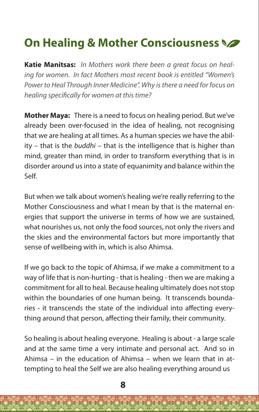# **On Healing & Mother Consciousness**

**Katie Manitsas:** *In Mothers work there been a great focus on healing for women. In fact Mothers most recent book is entitled "Women's Power to Heal Through Inner Medicine". Why is there a need for focus on healing specifically for women at this time?*

**Mother Maya:** There is a need to focus on healing period. But we've already been over-focused in the idea of healing, not recognising that we are healing at all times. As a human species we have the ability – that is the *buddhi* – that is the intelligence that is higher than mind, greater than mind, in order to transform everything that is in disorder around us into a state of equanimity and balance within the Self.

But when we talk about women's healing we're really referring to the Mother Consciousness and what I mean by that is the maternal energies that support the universe in terms of how we are sustained, what nourishes us, not only the food sources, not only the rivers and the skies and the environmental factors but more importantly that sense of wellbeing with in, which is also Ahimsa.

If we go back to the topic of Ahimsa, if we make a commitment to a way of life that is non-hurting - that is healing - then we are making a commitment for all to heal. Because healing ultimately does not stop within the boundaries of one human being. It transcends boundaries - it transcends the state of the individual into affecting everything around that person, affecting their family, their community.

So healing is about healing everyone. Healing is about - a large scale and at the same time a very intimate and personal act. And so in Ahimsa – in the education of Ahimsa – when we learn that in attempting to heal the Self we are also healing everything around us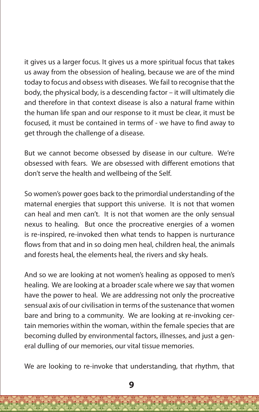it gives us a larger focus. It gives us a more spiritual focus that takes us away from the obsession of healing, because we are of the mind today to focus and obsess with diseases. We fail to recognise that the body, the physical body, is a descending factor – it will ultimately die and therefore in that context disease is also a natural frame within the human life span and our response to it must be clear, it must be focused, it must be contained in terms of - we have to find away to get through the challenge of a disease.

But we cannot become obsessed by disease in our culture. We're obsessed with fears. We are obsessed with different emotions that don't serve the health and wellbeing of the Self.

So women's power goes back to the primordial understanding of the maternal energies that support this universe. It is not that women can heal and men can't. It is not that women are the only sensual nexus to healing. But once the procreative energies of a women is re-inspired, re-invoked then what tends to happen is nurturance flows from that and in so doing men heal, children heal, the animals and forests heal, the elements heal, the rivers and sky heals.

And so we are looking at not women's healing as opposed to men's healing. We are looking at a broader scale where we say that women have the power to heal. We are addressing not only the procreative sensual axis of our civilisation in terms of the sustenance that women bare and bring to a community. We are looking at re-invoking certain memories within the woman, within the female species that are becoming dulled by environmental factors, illnesses, and just a general dulling of our memories, our vital tissue memories.

We are looking to re-invoke that understanding, that rhythm, that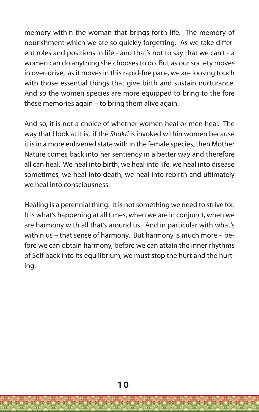memory within the woman that brings forth life. The memory of nourishment which we are so quickly forgetting. As we take different roles and positions in life - and that's not to say that we can't - a women can do anything she chooses to do. But as our society moves in over-drive, as it moves in this rapid-fire pace, we are loosing touch with those essential things that give birth and sustain nurturance. And so the women species are more equipped to bring to the fore these memories again – to bring them alive again.

And so, it is not a choice of whether women heal or men heal. The way that I look at it is, if the *Shakti* is invoked within women because it is in a more enlivened state with in the female species, then Mother Nature comes back into her sentiency in a better way and therefore all can heal. We heal into birth, we heal into life, we heal into disease sometimes, we heal into death, we heal into rebirth and ultimately we heal into consciousness.

Healing is a perennial thing. It is not something we need to strive for. It is what's happening at all times, when we are in conjunct, when we are harmony with all that's around us. And in particular with what's within us – that sense of harmony. But harmony is much more – before we can obtain harmony, before we can attain the inner rhythms of Self back into its equilibrium, we must stop the hurt and the hurting.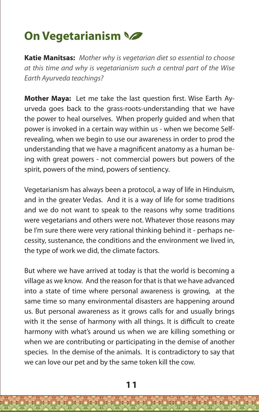# **On Vegetarianism**

**Katie Manitsas:** *Mother why is vegetarian diet so essential to choose at this time and why is vegetarianism such a central part of the Wise Earth Ayurveda teachings?*

**Mother Maya:** Let me take the last question first. Wise Earth Ayurveda goes back to the grass-roots-understanding that we have the power to heal ourselves. When properly guided and when that power is invoked in a certain way within us - when we become Selfrevealing, when we begin to use our awareness in order to prod the understanding that we have a magnificent anatomy as a human being with great powers - not commercial powers but powers of the spirit, powers of the mind, powers of sentiency.

Vegetarianism has always been a protocol, a way of life in Hinduism, and in the greater Vedas. And it is a way of life for some traditions and we do not want to speak to the reasons why some traditions were vegetarians and others were not. Whatever those reasons may be I'm sure there were very rational thinking behind it - perhaps necessity, sustenance, the conditions and the environment we lived in, the type of work we did, the climate factors.

But where we have arrived at today is that the world is becoming a village as we know. And the reason for that is that we have advanced into a state of time where personal awareness is growing, at the same time so many environmental disasters are happening around us. But personal awareness as it grows calls for and usually brings with it the sense of harmony with all things. It is difficult to create harmony with what's around us when we are killing something or when we are contributing or participating in the demise of another species. In the demise of the animals. It is contradictory to say that we can love our pet and by the same token kill the cow.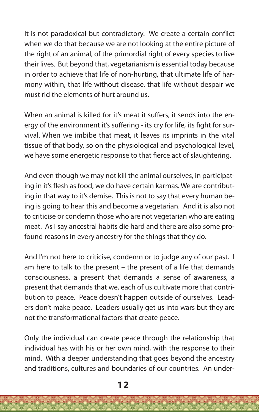It is not paradoxical but contradictory. We create a certain conflict when we do that because we are not looking at the entire picture of the right of an animal, of the primordial right of every species to live their lives. But beyond that, vegetarianism is essential today because in order to achieve that life of non-hurting, that ultimate life of harmony within, that life without disease, that life without despair we must rid the elements of hurt around us.

When an animal is killed for it's meat it suffers, it sends into the energy of the environment it's suffering - its cry for life, its fight for survival. When we imbibe that meat, it leaves its imprints in the vital tissue of that body, so on the physiological and psychological level, we have some energetic response to that fierce act of slaughtering.

And even though we may not kill the animal ourselves, in participating in it's flesh as food, we do have certain karmas. We are contributing in that way to it's demise. This is not to say that every human being is going to hear this and become a vegetarian. And it is also not to criticise or condemn those who are not vegetarian who are eating meat. As I say ancestral habits die hard and there are also some profound reasons in every ancestry for the things that they do.

And I'm not here to criticise, condemn or to judge any of our past. I am here to talk to the present – the present of a life that demands consciousness, a present that demands a sense of awareness, a present that demands that we, each of us cultivate more that contribution to peace. Peace doesn't happen outside of ourselves. Leaders don't make peace. Leaders usually get us into wars but they are not the transformational factors that create peace.

Only the individual can create peace through the relationship that individual has with his or her own mind, with the response to their mind. With a deeper understanding that goes beyond the ancestry and traditions, cultures and boundaries of our countries. An under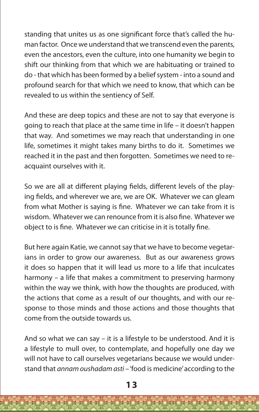standing that unites us as one significant force that's called the human factor. Once we understand that we transcend even the parents, even the ancestors, even the culture, into one humanity we begin to shift our thinking from that which we are habituating or trained to do - that which has been formed by a belief system - into a sound and profound search for that which we need to know, that which can be revealed to us within the sentiency of Self.

And these are deep topics and these are not to say that everyone is going to reach that place at the same time in life – it doesn't happen that way. And sometimes we may reach that understanding in one life, sometimes it might takes many births to do it. Sometimes we reached it in the past and then forgotten. Sometimes we need to reacquaint ourselves with it.

So we are all at different playing fields, different levels of the playing fields, and wherever we are, we are OK. Whatever we can gleam from what Mother is saying is fine. Whatever we can take from it is wisdom. Whatever we can renounce from it is also fine. Whatever we object to is fine. Whatever we can criticise in it is totally fine.

But here again Katie, we cannot say that we have to become vegetarians in order to grow our awareness. But as our awareness grows it does so happen that it will lead us more to a life that inculcates harmony – a life that makes a commitment to preserving harmony within the way we think, with how the thoughts are produced, with the actions that come as a result of our thoughts, and with our response to those minds and those actions and those thoughts that come from the outside towards us.

And so what we can say – it is a lifestyle to be understood. And it is a lifestyle to mull over, to contemplate, and hopefully one day we will not have to call ourselves vegetarians because we would understand that *annam oushadam asti* – 'food is medicine' according to the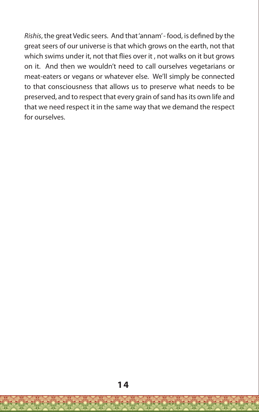*Rishis*, the great Vedic seers. And that 'annam' - food, is defined by the great seers of our universe is that which grows on the earth, not that which swims under it, not that flies over it , not walks on it but grows on it. And then we wouldn't need to call ourselves vegetarians or meat-eaters or vegans or whatever else. We'll simply be connected to that consciousness that allows us to preserve what needs to be preserved, and to respect that every grain of sand has its own life and that we need respect it in the same way that we demand the respect for ourselves.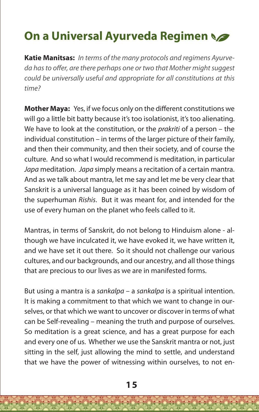# **On a Universal Ayurveda Regimen**

**Katie Manitsas:** *In terms of the many protocols and regimens Ayurveda has to offer, are there perhaps one or two that Mother might suggest could be universally useful and appropriate for all constitutions at this time?*

**Mother Maya:** Yes, if we focus only on the different constitutions we will go a little bit batty because it's too isolationist, it's too alienating. We have to look at the constitution, or the *prakriti* of a person – the individual constitution – in terms of the larger picture of their family, and then their community, and then their society, and of course the culture. And so what I would recommend is meditation, in particular *Japa* meditation. *Japa* simply means a recitation of a certain mantra. And as we talk about mantra, let me say and let me be very clear that Sanskrit is a universal language as it has been coined by wisdom of the superhuman *Rishis*. But it was meant for, and intended for the use of every human on the planet who feels called to it.

Mantras, in terms of Sanskrit, do not belong to Hinduism alone - although we have inculcated it, we have evoked it, we have written it, and we have set it out there. So it should not challenge our various cultures, and our backgrounds, and our ancestry, and all those things that are precious to our lives as we are in manifested forms.

But using a mantra is a *sankalpa* – a *sankalpa* is a spiritual intention. It is making a commitment to that which we want to change in ourselves, or that which we want to uncover or discover in terms of what can be Self-revealing – meaning the truth and purpose of ourselves. So meditation is a great science, and has a great purpose for each and every one of us. Whether we use the Sanskrit mantra or not, just sitting in the self, just allowing the mind to settle, and understand that we have the power of witnessing within ourselves, to not en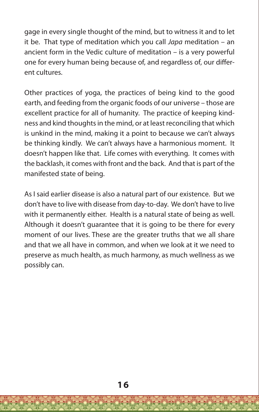gage in every single thought of the mind, but to witness it and to let it be. That type of meditation which you call *Japa* meditation – an ancient form in the Vedic culture of meditation – is a very powerful one for every human being because of, and regardless of, our different cultures.

Other practices of yoga, the practices of being kind to the good earth, and feeding from the organic foods of our universe – those are excellent practice for all of humanity. The practice of keeping kindness and kind thoughts in the mind, or at least reconciling that which is unkind in the mind, making it a point to because we can't always be thinking kindly. We can't always have a harmonious moment. It doesn't happen like that. Life comes with everything. It comes with the backlash, it comes with front and the back. And that is part of the manifested state of being.

As I said earlier disease is also a natural part of our existence. But we don't have to live with disease from day-to-day. We don't have to live with it permanently either. Health is a natural state of being as well. Although it doesn't guarantee that it is going to be there for every moment of our lives. These are the greater truths that we all share and that we all have in common, and when we look at it we need to preserve as much health, as much harmony, as much wellness as we possibly can.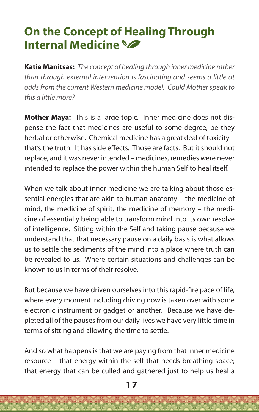# **On the Concept of Healing Through Internal Medicine**

**Katie Manitsas:** *The concept of healing through inner medicine rather than through external intervention is fascinating and seems a little at odds from the current Western medicine model. Could Mother speak to this a little more?*

**Mother Maya:** This is a large topic. Inner medicine does not dispense the fact that medicines are useful to some degree, be they herbal or otherwise. Chemical medicine has a great deal of toxicity – that's the truth. It has side effects. Those are facts. But it should not replace, and it was never intended – medicines, remedies were never intended to replace the power within the human Self to heal itself.

When we talk about inner medicine we are talking about those essential energies that are akin to human anatomy – the medicine of mind, the medicine of spirit, the medicine of memory – the medicine of essentially being able to transform mind into its own resolve of intelligence. Sitting within the Self and taking pause because we understand that that necessary pause on a daily basis is what allows us to settle the sediments of the mind into a place where truth can be revealed to us. Where certain situations and challenges can be known to us in terms of their resolve.

But because we have driven ourselves into this rapid-fire pace of life, where every moment including driving now is taken over with some electronic instrument or gadget or another. Because we have depleted all of the pauses from our daily lives we have very little time in terms of sitting and allowing the time to settle.

And so what happens is that we are paying from that inner medicine resource – that energy within the self that needs breathing space; that energy that can be culled and gathered just to help us heal a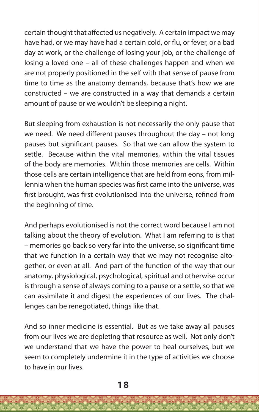certain thought that affected us negatively. A certain impact we may have had, or we may have had a certain cold, or flu, or fever, or a bad day at work, or the challenge of losing your job, or the challenge of losing a loved one – all of these challenges happen and when we are not properly positioned in the self with that sense of pause from time to time as the anatomy demands, because that's how we are constructed – we are constructed in a way that demands a certain amount of pause or we wouldn't be sleeping a night.

But sleeping from exhaustion is not necessarily the only pause that we need. We need different pauses throughout the day – not long pauses but significant pauses. So that we can allow the system to settle. Because within the vital memories, within the vital tissues of the body are memories. Within those memories are cells. Within those cells are certain intelligence that are held from eons, from millennia when the human species was first came into the universe, was first brought, was first evolutionised into the universe, refined from the beginning of time.

And perhaps evolutionised is not the correct word because I am not talking about the theory of evolution. What I am referring to is that – memories go back so very far into the universe, so significant time that we function in a certain way that we may not recognise altogether, or even at all. And part of the function of the way that our anatomy, physiological, psychological, spiritual and otherwise occur is through a sense of always coming to a pause or a settle, so that we can assimilate it and digest the experiences of our lives. The challenges can be renegotiated, things like that.

And so inner medicine is essential. But as we take away all pauses from our lives we are depleting that resource as well. Not only don't we understand that we have the power to heal ourselves, but we seem to completely undermine it in the type of activities we choose to have in our lives.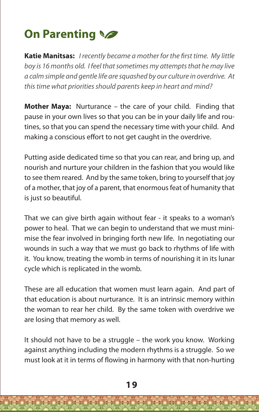# **On Parenting**

**Katie Manitsas:** *I recently became a mother for the first time. My little boy is 16 months old. I feel that sometimes my attempts that he may live a calm simple and gentle life are squashed by our culture in overdrive. At this time what priorities should parents keep in heart and mind?*

**Mother Maya:** Nurturance – the care of your child. Finding that pause in your own lives so that you can be in your daily life and routines, so that you can spend the necessary time with your child. And making a conscious effort to not get caught in the overdrive.

Putting aside dedicated time so that you can rear, and bring up, and nourish and nurture your children in the fashion that you would like to see them reared. And by the same token, bring to yourself that joy of a mother, that joy of a parent, that enormous feat of humanity that is just so beautiful.

That we can give birth again without fear - it speaks to a woman's power to heal. That we can begin to understand that we must minimise the fear involved in bringing forth new life. In negotiating our wounds in such a way that we must go back to rhythms of life with it. You know, treating the womb in terms of nourishing it in its lunar cycle which is replicated in the womb.

These are all education that women must learn again. And part of that education is about nurturance. It is an intrinsic memory within the woman to rear her child. By the same token with overdrive we are losing that memory as well.

It should not have to be a struggle – the work you know. Working against anything including the modern rhythms is a struggle. So we must look at it in terms of flowing in harmony with that non-hurting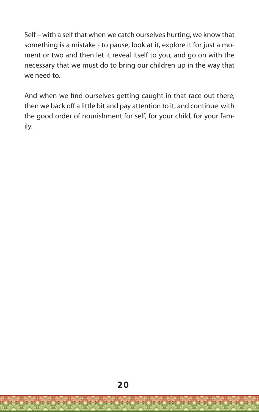Self – with a self that when we catch ourselves hurting, we know that something is a mistake - to pause, look at it, explore it for just a moment or two and then let it reveal itself to you, and go on with the necessary that we must do to bring our children up in the way that we need to.

And when we find ourselves getting caught in that race out there, then we back off a little bit and pay attention to it, and continue with the good order of nourishment for self, for your child, for your family.